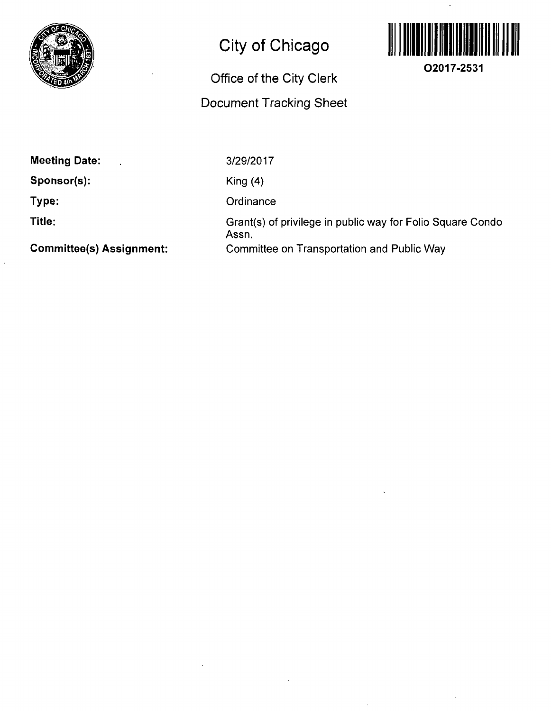

# **City of Chicago**

# **Office of the City Clerk Document Tracking Sheet**



**Meeting Date:** 

**Sponsor(s):** 

**Type:** 

**Title:** 

**Committee(s) Assignment:** 

3/29/2017

King (4)

**Ordinance** 

Grant(s) of privilege in public way for Folio Square Condo Assn. Committee on Transportation and Public Way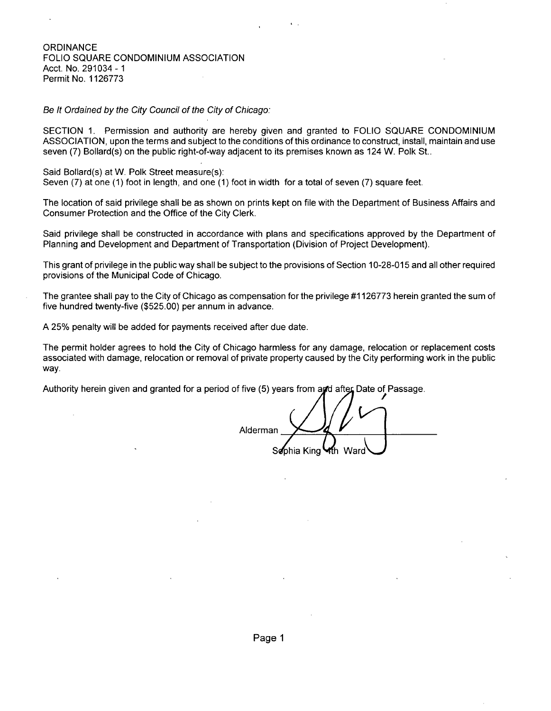### **ORDINANCE** FOLIO SQUARE CONDOMINIUM ASSOCIATION Acct. No. 291034-1 Permit No. 1126773

Be It Ordained by the City Council of the City of Chicago:

SECTION 1. Permission and authority are hereby given and granted to FOLIO SQUARE CONDOMINIUM ASSOCIATION, upon the terms and subject to the conditions ofthis ordinance to construct, install, maintain and use seven (7) Bollard(s) on the public right-of-way adjacent to its premises known as 124 W. Polk St..

Said Bollard(s) at W. Polk Street measure{s):

Seven (7) at one (1) foot in length, and one (1) foot in width for a total of seven (7) square feet.

The location of said privilege shall be as shown on prints kept on file with the Department of Business Affairs and Consumer Protection and the Office of the City Clerk.

Said privilege shall be constructed in accordance with plans and specifications approved by the Department of Planning and Development and Department of Transportation (Division of Project Development).

This grant of privilege in the public way shall be subject to the provisions of Section 10-28-015 and all other required provisions of the Municipal Code of Chicago.

The grantee shall pay to the City of Chicago as compensation for the privilege #1126773 herein granted the sum of five hundred twenty-five (\$525.00) per annum in advance.

A 25% penalty will be added for payments received after due date.

The permit holder agrees to hold the City of Chicago harmless for any damage, relocation or replacement costs associated with damage, relocation or removal of private property caused by the City performing work in the public way.

Authority herein given and granted for a period of five (5) years from and after Date of Passage.

Alderman Sophia King Kh Ward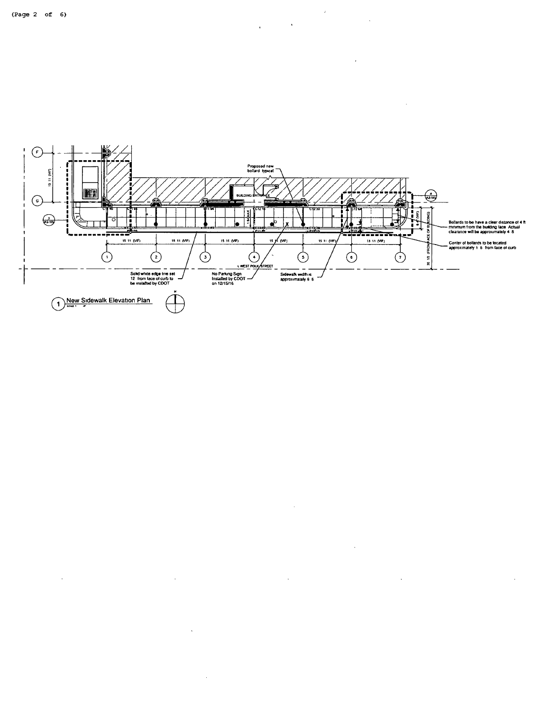$\sim$ 

 $\ddot{\phantom{a}}$ 

 $\mathcal{A}$ 

 $\bar{z}$ 



 $\mathcal{L}_{\mathcal{A}}$ 

 $\sim$ 

 $\sim$   $\sim$ 

 $\sim 10^{-10}$ 

 $\ddot{\phantom{a}}$ 

 $\label{eq:2.1} \frac{1}{\sqrt{2\pi}}\left(\frac{1}{\sqrt{2\pi}}\right)^{1/2}\frac{1}{\sqrt{2\pi}}\left(\frac{1}{\sqrt{2\pi}}\right)^{1/2}\frac{1}{\sqrt{2\pi}}\left(\frac{1}{\sqrt{2\pi}}\right)^{1/2}\frac{1}{\sqrt{2\pi}}\left(\frac{1}{\sqrt{2\pi}}\right)^{1/2}\frac{1}{\sqrt{2\pi}}\frac{1}{\sqrt{2\pi}}\frac{1}{\sqrt{2\pi}}\frac{1}{\sqrt{2\pi}}\frac{1}{\sqrt{2\pi}}\frac{1}{\sqrt{2\pi}}\frac{1}{\sqrt$ 

i.